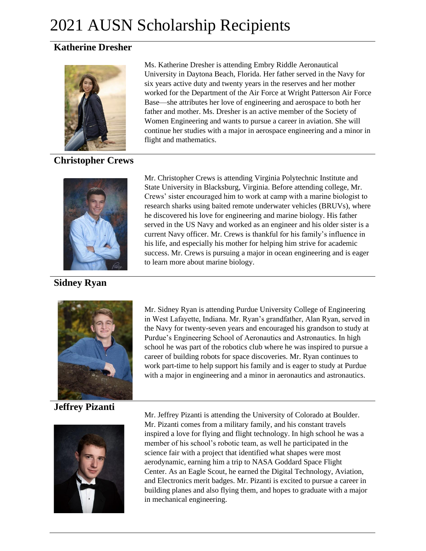# 2021 AUSN Scholarship Recipients

## **Katherine Dresher**



**Christopher Crews**

**Sidney Ryan**



**Jeffrey Pizanti**



Ms. Katherine Dresher is attending Embry Riddle Aeronautical University in Daytona Beach, Florida. Her father served in the Navy for six years active duty and twenty years in the reserves and her mother worked for the Department of the Air Force at Wright Patterson Air Force Base—she attributes her love of engineering and aerospace to both her father and mother. Ms. Dresher is an active member of the Society of Women Engineering and wants to pursue a career in aviation. She will continue her studies with a major in aerospace engineering and a minor in flight and mathematics.

Mr. Christopher Crews is attending Virginia Polytechnic Institute and State University in Blacksburg, Virginia. Before attending college, Mr. Crews' sister encouraged him to work at camp with a marine biologist to research sharks using baited remote underwater vehicles (BRUVs), where he discovered his love for engineering and marine biology. His father served in the US Navy and worked as an engineer and his older sister is a current Navy officer. Mr. Crews is thankful for his family's influence in his life, and especially his mother for helping him strive for academic success. Mr. Crews is pursuing a major in ocean engineering and is eager to learn more about marine biology.

Mr. Sidney Ryan is attending Purdue University College of Engineering in West Lafayette, Indiana. Mr. Ryan's grandfather, Alan Ryan, served in the Navy for twenty-seven years and encouraged his grandson to study at Purdue's Engineering School of Aeronautics and Astronautics. In high school he was part of the robotics club where he was inspired to pursue a career of building robots for space discoveries. Mr. Ryan continues to work part-time to help support his family and is eager to study at Purdue with a major in engineering and a minor in aeronautics and astronautics.

Mr. Jeffrey Pizanti is attending the University of Colorado at Boulder. Mr. Pizanti comes from a military family, and his constant travels inspired a love for flying and flight technology. In high school he was a member of his school's robotic team, as well he participated in the science fair with a project that identified what shapes were most aerodynamic, earning him a trip to NASA Goddard Space Flight Center. As an Eagle Scout, he earned the Digital Technology, Aviation, and Electronics merit badges. Mr. Pizanti is excited to pursue a career in building planes and also flying them, and hopes to graduate with a major in mechanical engineering.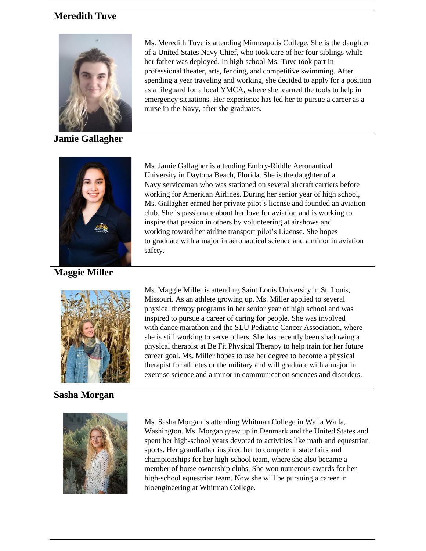## **Meredith Tuve**



**Jamie Gallagher**



**Maggie Miller**

Ms. Meredith Tuve is attending Minneapolis College. She is the daughter of a United States Navy Chief, who took care of her four siblings while her father was deployed. In high school Ms. Tuve took part in professional theater, arts, fencing, and competitive swimming. After spending a year traveling and working, she decided to apply for a position as a lifeguard for a local YMCA, where she learned the tools to help in emergency situations. Her experience has led her to pursue a career as a nurse in the Navy, after she graduates.

Ms. Jamie Gallagher is attending Embry-Riddle Aeronautical University in Daytona Beach, Florida. She is the daughter of a Navy serviceman who was stationed on several aircraft carriers before working for American Airlines. During her senior year of high school, Ms. Gallagher earned her private pilot's license and founded an aviation club. She is passionate about her love for aviation and is working to inspire that passion in others by volunteering at airshows and working toward her airline transport pilot's License. She hopes to graduate with a major in aeronautical science and a minor in aviation safety.



## **Sasha Morgan**

Ms. Maggie Miller is attending Saint Louis University in St. Louis, Missouri. As an athlete growing up, Ms. Miller applied to several physical therapy programs in her senior year of high school and was inspired to pursue a career of caring for people. She was involved with dance marathon and the SLU Pediatric Cancer Association, where she is still working to serve others. She has recently been shadowing a physical therapist at Be Fit Physical Therapy to help train for her future career goal. Ms. Miller hopes to use her degree to become a physical therapist for athletes or the military and will graduate with a major in exercise science and a minor in communication sciences and disorders.



Ms. Sasha Morgan is attending Whitman College in Walla Walla, Washington. Ms. Morgan grew up in Denmark and the United States and spent her high-school years devoted to activities like math and equestrian sports. Her grandfather inspired her to compete in state fairs and championships for her high-school team, where she also became a member of horse ownership clubs. She won numerous awards for her high-school equestrian team. Now she will be pursuing a career in bioengineering at Whitman College.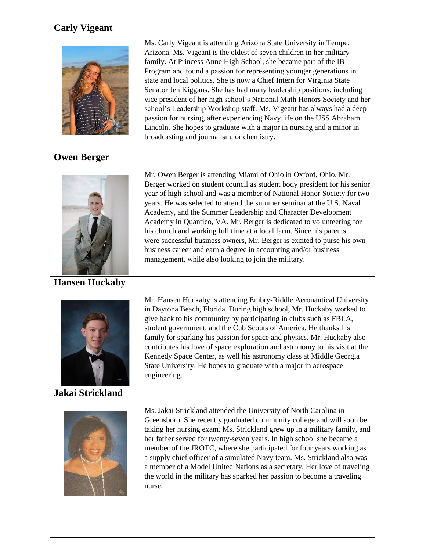## **Carly Vigeant**



## **Owen Berger**



**Hansen Huckaby**



#### **Jakai Strickland**



Ms. Carly Vigeant is attending Arizona State University in Tempe, Arizona. Ms. Vigeant is the oldest of seven children in her military family. At Princess Anne High School, she became part of the IB Program and found a passion for representing younger generations in state and local politics. She is now a Chief Intern for Virginia State Senator Jen Kiggans. She has had many leadership positions, including vice president of her high school's National Math Honors Society and her school's Leadership Workshop staff. Ms. Vigeant has always had a deep passion for nursing, after experiencing Navy life on the USS Abraham Lincoln. She hopes to graduate with a major in nursing and a minor in broadcasting and journalism, or chemistry.

Mr. Owen Berger is attending Miami of Ohio in Oxford, Ohio. Mr. Berger worked on student council as student body president for his senior year of high school and was a member of National Honor Society for two years. He was selected to attend the summer seminar at the U.S. Naval Academy, and the Summer Leadership and Character Development Academy in Quantico, VA. Mr. Berger is dedicated to volunteering for his church and working full time at a local farm. Since his parents were successful business owners, Mr. Berger is excited to purse his own business career and earn a degree in accounting and/or business management, while also looking to join the military.

Mr. Hansen Huckaby is attending Embry-Riddle Aeronautical University in Daytona Beach, Florida. During high school, Mr. Huckaby worked to give back to his community by participating in clubs such as FBLA, student government, and the Cub Scouts of America. He thanks his family for sparking his passion for space and physics. Mr. Huckaby also contributes his love of space exploration and astronomy to his visit at the Kennedy Space Center, as well his astronomy class at Middle Georgia State University. He hopes to graduate with a major in aerospace engineering.

Ms. Jakai Strickland attended the University of North Carolina in Greensboro. She recently graduated community college and will soon be taking her nursing exam. Ms. Strickland grew up in a military family, and her father served for twenty-seven years. In high school she became a member of the JROTC, where she participated for four years working as a supply chief officer of a simulated Navy team. Ms. Strickland also was a member of a Model United Nations as a secretary. Her love of traveling the world in the military has sparked her passion to become a traveling nurse.